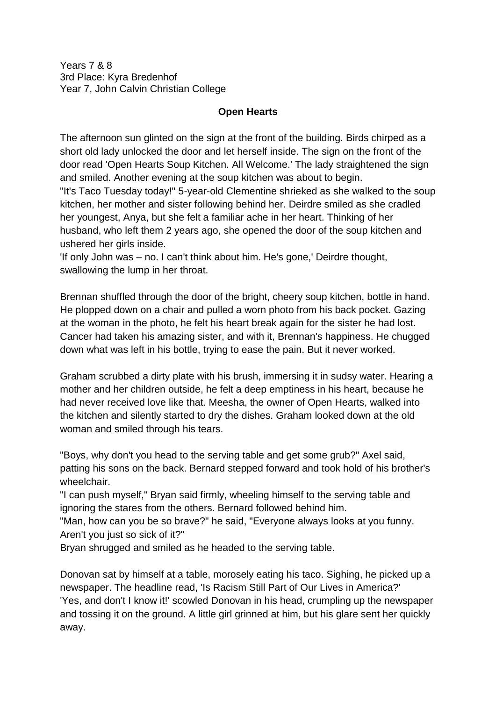Years 7 & 8 3rd Place: Kyra Bredenhof Year 7, John Calvin Christian College

## **Open Hearts**

The afternoon sun glinted on the sign at the front of the building. Birds chirped as a short old lady unlocked the door and let herself inside. The sign on the front of the door read 'Open Hearts Soup Kitchen. All Welcome.' The lady straightened the sign and smiled. Another evening at the soup kitchen was about to begin.

"It's Taco Tuesday today!" 5-year-old Clementine shrieked as she walked to the soup kitchen, her mother and sister following behind her. Deirdre smiled as she cradled her youngest, Anya, but she felt a familiar ache in her heart. Thinking of her husband, who left them 2 years ago, she opened the door of the soup kitchen and ushered her girls inside.

'If only John was – no. I can't think about him. He's gone,' Deirdre thought, swallowing the lump in her throat.

Brennan shuffled through the door of the bright, cheery soup kitchen, bottle in hand. He plopped down on a chair and pulled a worn photo from his back pocket. Gazing at the woman in the photo, he felt his heart break again for the sister he had lost. Cancer had taken his amazing sister, and with it, Brennan's happiness. He chugged down what was left in his bottle, trying to ease the pain. But it never worked.

Graham scrubbed a dirty plate with his brush, immersing it in sudsy water. Hearing a mother and her children outside, he felt a deep emptiness in his heart, because he had never received love like that. Meesha, the owner of Open Hearts, walked into the kitchen and silently started to dry the dishes. Graham looked down at the old woman and smiled through his tears.

"Boys, why don't you head to the serving table and get some grub?" Axel said, patting his sons on the back. Bernard stepped forward and took hold of his brother's wheelchair.

"I can push myself," Bryan said firmly, wheeling himself to the serving table and ignoring the stares from the others. Bernard followed behind him.

"Man, how can you be so brave?" he said, "Everyone always looks at you funny. Aren't you just so sick of it?"

Bryan shrugged and smiled as he headed to the serving table.

Donovan sat by himself at a table, morosely eating his taco. Sighing, he picked up a newspaper. The headline read, 'Is Racism Still Part of Our Lives in America?' 'Yes, and don't I know it!' scowled Donovan in his head, crumpling up the newspaper and tossing it on the ground. A little girl grinned at him, but his glare sent her quickly away.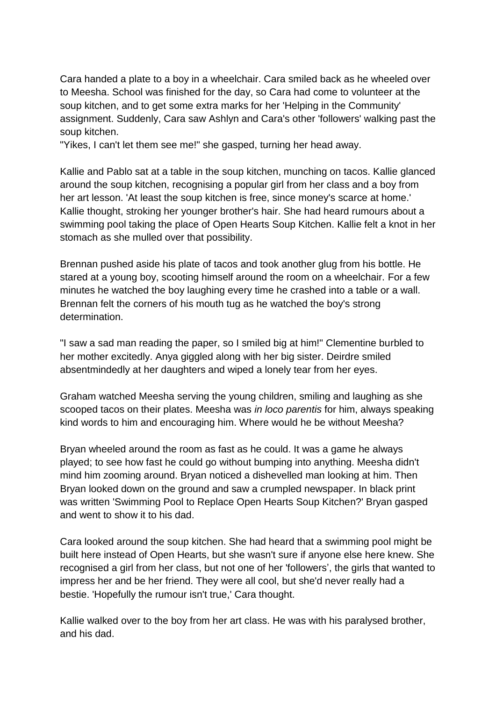Cara handed a plate to a boy in a wheelchair. Cara smiled back as he wheeled over to Meesha. School was finished for the day, so Cara had come to volunteer at the soup kitchen, and to get some extra marks for her 'Helping in the Community' assignment. Suddenly, Cara saw Ashlyn and Cara's other 'followers' walking past the soup kitchen.

"Yikes, I can't let them see me!" she gasped, turning her head away.

Kallie and Pablo sat at a table in the soup kitchen, munching on tacos. Kallie glanced around the soup kitchen, recognising a popular girl from her class and a boy from her art lesson. 'At least the soup kitchen is free, since money's scarce at home.' Kallie thought, stroking her younger brother's hair. She had heard rumours about a swimming pool taking the place of Open Hearts Soup Kitchen. Kallie felt a knot in her stomach as she mulled over that possibility.

Brennan pushed aside his plate of tacos and took another glug from his bottle. He stared at a young boy, scooting himself around the room on a wheelchair. For a few minutes he watched the boy laughing every time he crashed into a table or a wall. Brennan felt the corners of his mouth tug as he watched the boy's strong determination.

"I saw a sad man reading the paper, so I smiled big at him!" Clementine burbled to her mother excitedly. Anya giggled along with her big sister. Deirdre smiled absentmindedly at her daughters and wiped a lonely tear from her eyes.

Graham watched Meesha serving the young children, smiling and laughing as she scooped tacos on their plates. Meesha was *in loco parentis* for him, always speaking kind words to him and encouraging him. Where would he be without Meesha?

Bryan wheeled around the room as fast as he could. It was a game he always played; to see how fast he could go without bumping into anything. Meesha didn't mind him zooming around. Bryan noticed a dishevelled man looking at him. Then Bryan looked down on the ground and saw a crumpled newspaper. In black print was written 'Swimming Pool to Replace Open Hearts Soup Kitchen?' Bryan gasped and went to show it to his dad.

Cara looked around the soup kitchen. She had heard that a swimming pool might be built here instead of Open Hearts, but she wasn't sure if anyone else here knew. She recognised a girl from her class, but not one of her 'followers', the girls that wanted to impress her and be her friend. They were all cool, but she'd never really had a bestie. 'Hopefully the rumour isn't true,' Cara thought.

Kallie walked over to the boy from her art class. He was with his paralysed brother, and his dad.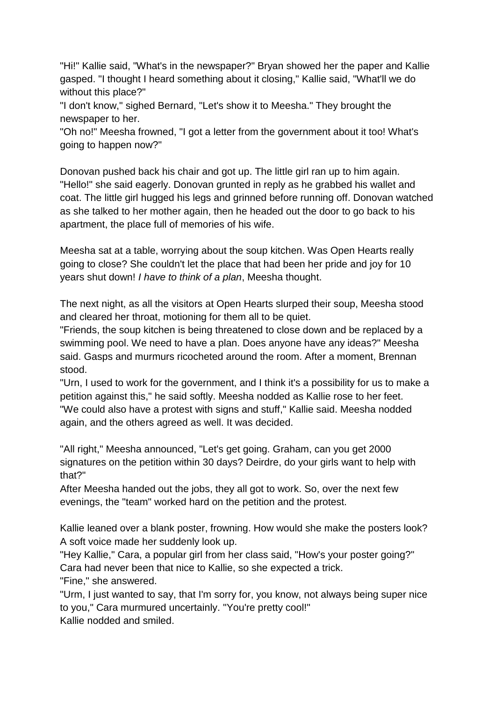"Hi!" Kallie said, "What's in the newspaper?" Bryan showed her the paper and Kallie gasped. "I thought I heard something about it closing," Kallie said, "What'll we do without this place?"

"I don't know," sighed Bernard, "Let's show it to Meesha." They brought the newspaper to her.

"Oh no!" Meesha frowned, "I got a letter from the government about it too! What's going to happen now?"

Donovan pushed back his chair and got up. The little girl ran up to him again. "Hello!" she said eagerly. Donovan grunted in reply as he grabbed his wallet and coat. The little girl hugged his legs and grinned before running off. Donovan watched as she talked to her mother again, then he headed out the door to go back to his apartment, the place full of memories of his wife.

Meesha sat at a table, worrying about the soup kitchen. Was Open Hearts really going to close? She couldn't let the place that had been her pride and joy for 10 years shut down! *I have to think of a plan*, Meesha thought.

The next night, as all the visitors at Open Hearts slurped their soup, Meesha stood and cleared her throat, motioning for them all to be quiet.

"Friends, the soup kitchen is being threatened to close down and be replaced by a swimming pool. We need to have a plan. Does anyone have any ideas?" Meesha said. Gasps and murmurs ricocheted around the room. After a moment, Brennan stood.

"Urn, I used to work for the government, and I think it's a possibility for us to make a petition against this," he said softly. Meesha nodded as Kallie rose to her feet. "We could also have a protest with signs and stuff," Kallie said. Meesha nodded again, and the others agreed as well. It was decided.

"All right," Meesha announced, "Let's get going. Graham, can you get 2000 signatures on the petition within 30 days? Deirdre, do your girls want to help with that?"

After Meesha handed out the jobs, they all got to work. So, over the next few evenings, the "team" worked hard on the petition and the protest.

Kallie leaned over a blank poster, frowning. How would she make the posters look? A soft voice made her suddenly look up.

"Hey Kallie," Cara, a popular girl from her class said, "How's your poster going?" Cara had never been that nice to Kallie, so she expected a trick.

"Fine," she answered.

"Urm, I just wanted to say, that I'm sorry for, you know, not always being super nice to you," Cara murmured uncertainly. "You're pretty cool!" Kallie nodded and smiled.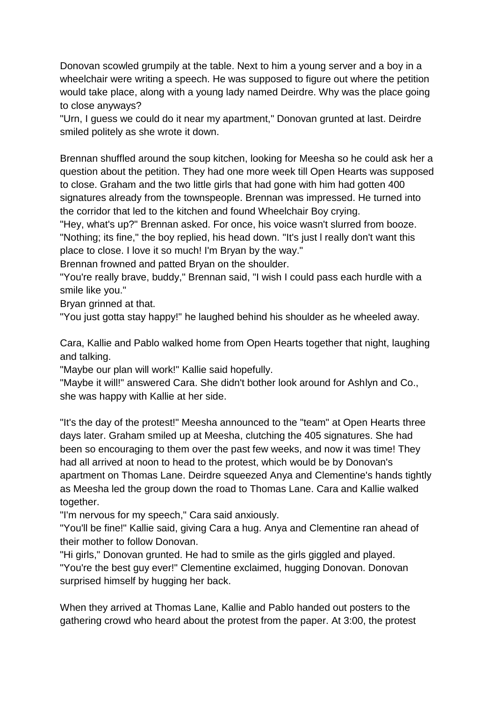Donovan scowled grumpily at the table. Next to him a young server and a boy in a wheelchair were writing a speech. He was supposed to figure out where the petition would take place, along with a young lady named Deirdre. Why was the place going to close anyways?

"Urn, I guess we could do it near my apartment," Donovan grunted at last. Deirdre smiled politely as she wrote it down.

Brennan shuffled around the soup kitchen, looking for Meesha so he could ask her a question about the petition. They had one more week till Open Hearts was supposed to close. Graham and the two little girls that had gone with him had gotten 400 signatures already from the townspeople. Brennan was impressed. He turned into the corridor that led to the kitchen and found Wheelchair Boy crying.

"Hey, what's up?" Brennan asked. For once, his voice wasn't slurred from booze. "Nothing; its fine," the boy replied, his head down. "It's just l really don't want this place to close. I love it so much! I'm Bryan by the way."

Brennan frowned and patted Bryan on the shoulder.

"You're really brave, buddy," Brennan said, "I wish I could pass each hurdle with a smile like you."

Bryan grinned at that.

"You just gotta stay happy!" he laughed behind his shoulder as he wheeled away.

Cara, Kallie and Pablo walked home from Open Hearts together that night, laughing and talking.

"Maybe our plan will work!" Kallie said hopefully.

"Maybe it will!" answered Cara. She didn't bother look around for Ashlyn and Co., she was happy with Kallie at her side.

"It's the day of the protest!" Meesha announced to the "team" at Open Hearts three days later. Graham smiled up at Meesha, clutching the 405 signatures. She had been so encouraging to them over the past few weeks, and now it was time! They had all arrived at noon to head to the protest, which would be by Donovan's apartment on Thomas Lane. Deirdre squeezed Anya and Clementine's hands tightly as Meesha led the group down the road to Thomas Lane. Cara and Kallie walked together.

"I'm nervous for my speech," Cara said anxiously.

"You'll be fine!" Kallie said, giving Cara a hug. Anya and Clementine ran ahead of their mother to follow Donovan.

"Hi girls," Donovan grunted. He had to smile as the girls giggled and played. "You're the best guy ever!" Clementine exclaimed, hugging Donovan. Donovan surprised himself by hugging her back.

When they arrived at Thomas Lane, Kallie and Pablo handed out posters to the gathering crowd who heard about the protest from the paper. At 3:00, the protest